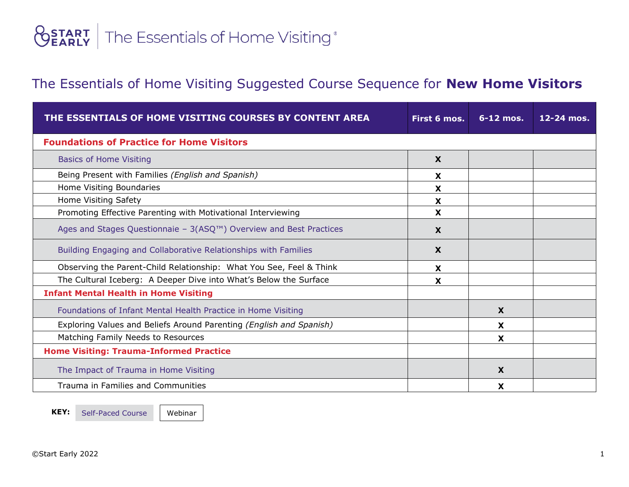## **<u>OSTART</u>** The Essentials of Home Visiting®

## The Essentials of Home Visiting Suggested Course Sequence for **New Home Visitors**

| THE ESSENTIALS OF HOME VISITING COURSES BY CONTENT AREA               | First 6 mos.              | $6-12$ mos. | $12 - 24$ mos. |  |
|-----------------------------------------------------------------------|---------------------------|-------------|----------------|--|
| <b>Foundations of Practice for Home Visitors</b>                      |                           |             |                |  |
| <b>Basics of Home Visiting</b>                                        | X                         |             |                |  |
| Being Present with Families (English and Spanish)                     | X                         |             |                |  |
| Home Visiting Boundaries                                              | X                         |             |                |  |
| Home Visiting Safety                                                  | X                         |             |                |  |
| Promoting Effective Parenting with Motivational Interviewing          | X                         |             |                |  |
| Ages and Stages Questionnaie - $3(ASQTM)$ Overview and Best Practices | $\boldsymbol{\mathsf{x}}$ |             |                |  |
| Building Engaging and Collaborative Relationships with Families       | X                         |             |                |  |
| Observing the Parent-Child Relationship: What You See, Feel & Think   | X                         |             |                |  |
| The Cultural Iceberg: A Deeper Dive into What's Below the Surface     | X                         |             |                |  |
| <b>Infant Mental Health in Home Visiting</b>                          |                           |             |                |  |
| Foundations of Infant Mental Health Practice in Home Visiting         |                           | X           |                |  |
| Exploring Values and Beliefs Around Parenting (English and Spanish)   |                           | X           |                |  |
| Matching Family Needs to Resources                                    |                           | X           |                |  |
| <b>Home Visiting: Trauma-Informed Practice</b>                        |                           |             |                |  |
| The Impact of Trauma in Home Visiting                                 |                           | X           |                |  |
| Trauma in Families and Communities                                    |                           | x           |                |  |

KEY: Self-Paced Course Webinar